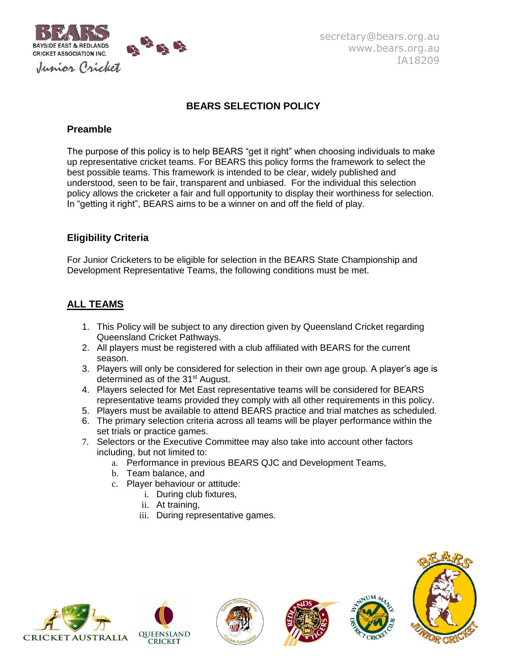

# **BEARS SELECTION POLICY**

### **Preamble**

The purpose of this policy is to help BEARS "get it right" when choosing individuals to make up representative cricket teams. For BEARS this policy forms the framework to select the best possible teams. This framework is intended to be clear, widely published and understood, seen to be fair, transparent and unbiased. For the individual this selection policy allows the cricketer a fair and full opportunity to display their worthiness for selection. In "getting it right", BEARS aims to be a winner on and off the field of play.

# **Eligibility Criteria**

For Junior Cricketers to be eligible for selection in the BEARS State Championship and Development Representative Teams, the following conditions must be met.

# **ALL TEAMS**

- 1. This Policy will be subject to any direction given by Queensland Cricket regarding Queensland Cricket Pathways.
- 2. All players must be registered with a club affiliated with BEARS for the current season.
- 3. Players will only be considered for selection in their own age group. A player's age is determined as of the 31<sup>st</sup> August.
- 4. Players selected for Met East representative teams will be considered for BEARS representative teams provided they comply with all other requirements in this policy.
- 5. Players must be available to attend BEARS practice and trial matches as scheduled.
- 6. The primary selection criteria across all teams will be player performance within the set trials or practice games.
- 7. Selectors or the Executive Committee may also take into account other factors including, but not limited to:
	- a. Performance in previous BEARS QJC and Development Teams,
	- b. Team balance, and
	- c. Player behaviour or attitude:
		- i. During club fixtures,
		- ii. At training,
		- iii. During representative games.









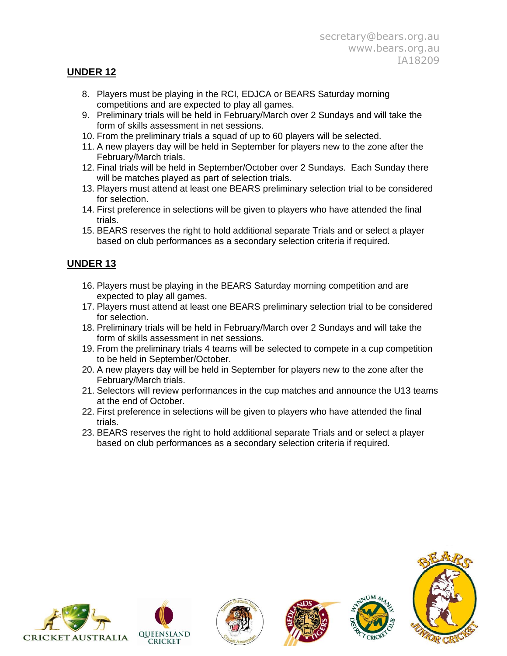### **UNDER 12**

- 8. Players must be playing in the RCI, EDJCA or BEARS Saturday morning competitions and are expected to play all games.
- 9. Preliminary trials will be held in February/March over 2 Sundays and will take the form of skills assessment in net sessions.
- 10. From the preliminary trials a squad of up to 60 players will be selected.
- 11. A new players day will be held in September for players new to the zone after the February/March trials.
- 12. Final trials will be held in September/October over 2 Sundays. Each Sunday there will be matches played as part of selection trials.
- 13. Players must attend at least one BEARS preliminary selection trial to be considered for selection.
- 14. First preference in selections will be given to players who have attended the final trials.
- 15. BEARS reserves the right to hold additional separate Trials and or select a player based on club performances as a secondary selection criteria if required.

# **UNDER 13**

- 16. Players must be playing in the BEARS Saturday morning competition and are expected to play all games.
- 17. Players must attend at least one BEARS preliminary selection trial to be considered for selection.
- 18. Preliminary trials will be held in February/March over 2 Sundays and will take the form of skills assessment in net sessions.
- 19. From the preliminary trials 4 teams will be selected to compete in a cup competition to be held in September/October.
- 20. A new players day will be held in September for players new to the zone after the February/March trials.
- 21. Selectors will review performances in the cup matches and announce the U13 teams at the end of October.
- 22. First preference in selections will be given to players who have attended the final trials.
- 23. BEARS reserves the right to hold additional separate Trials and or select a player based on club performances as a secondary selection criteria if required.









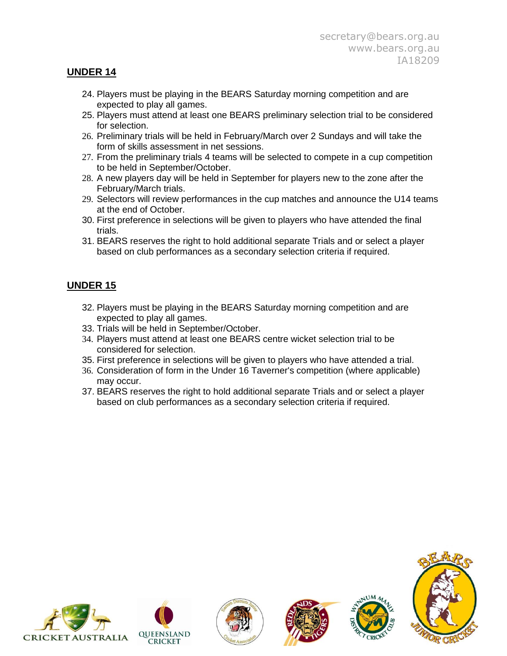### **UNDER 14**

- 24. Players must be playing in the BEARS Saturday morning competition and are expected to play all games.
- 25. Players must attend at least one BEARS preliminary selection trial to be considered for selection.
- 26. Preliminary trials will be held in February/March over 2 Sundays and will take the form of skills assessment in net sessions.
- 27. From the preliminary trials 4 teams will be selected to compete in a cup competition to be held in September/October.
- 28. A new players day will be held in September for players new to the zone after the February/March trials.
- 29. Selectors will review performances in the cup matches and announce the U14 teams at the end of October.
- 30. First preference in selections will be given to players who have attended the final trials.
- 31. BEARS reserves the right to hold additional separate Trials and or select a player based on club performances as a secondary selection criteria if required.

# **UNDER 15**

- 32. Players must be playing in the BEARS Saturday morning competition and are expected to play all games.
- 33. Trials will be held in September/October.
- 34. Players must attend at least one BEARS centre wicket selection trial to be considered for selection.
- 35. First preference in selections will be given to players who have attended a trial.
- 36. Consideration of form in the Under 16 Taverner's competition (where applicable) may occur.
- 37. BEARS reserves the right to hold additional separate Trials and or select a player based on club performances as a secondary selection criteria if required.











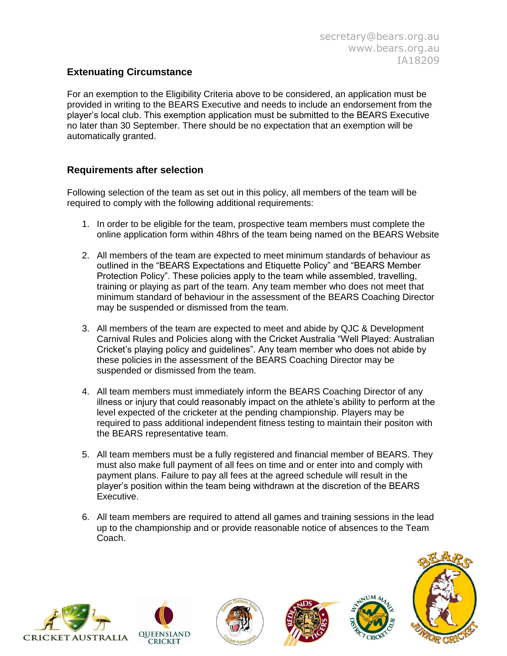### **Extenuating Circumstance**

For an exemption to the Eligibility Criteria above to be considered, an application must be provided in writing to the BEARS Executive and needs to include an endorsement from the player's local club. This exemption application must be submitted to the BEARS Executive no later than 30 September. There should be no expectation that an exemption will be automatically granted.

#### **Requirements after selection**

Following selection of the team as set out in this policy, all members of the team will be required to comply with the following additional requirements:

- 1. In order to be eligible for the team, prospective team members must complete the online application form within 48hrs of the team being named on the BEARS Website
- 2. All members of the team are expected to meet minimum standards of behaviour as outlined in the "BEARS Expectations and Etiquette Policy" and "BEARS Member Protection Policy". These policies apply to the team while assembled, travelling, training or playing as part of the team. Any team member who does not meet that minimum standard of behaviour in the assessment of the BEARS Coaching Director may be suspended or dismissed from the team.
- 3. All members of the team are expected to meet and abide by QJC & Development Carnival Rules and Policies along with the Cricket Australia "Well Played: Australian Cricket's playing policy and guidelines". Any team member who does not abide by these policies in the assessment of the BEARS Coaching Director may be suspended or dismissed from the team.
- 4. All team members must immediately inform the BEARS Coaching Director of any illness or injury that could reasonably impact on the athlete's ability to perform at the level expected of the cricketer at the pending championship. Players may be required to pass additional independent fitness testing to maintain their positon with the BEARS representative team.
- 5. All team members must be a fully registered and financial member of BEARS. They must also make full payment of all fees on time and or enter into and comply with payment plans. Failure to pay all fees at the agreed schedule will result in the player's position within the team being withdrawn at the discretion of the BEARS Executive.
- 6. All team members are required to attend all games and training sessions in the lead up to the championship and or provide reasonable notice of absences to the Team Coach.